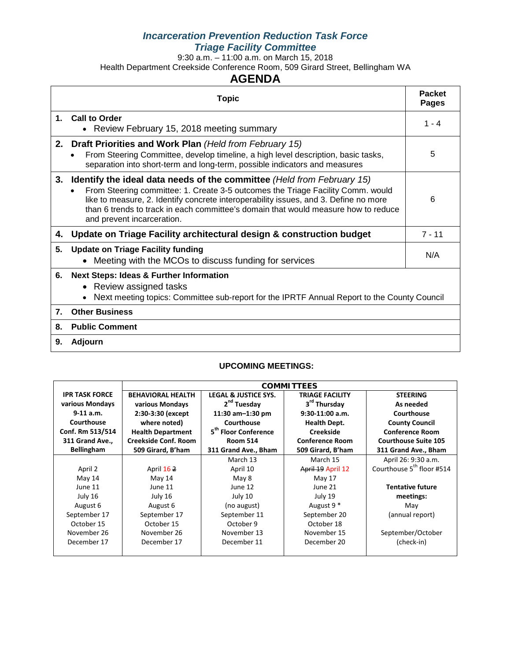# *Incarceration Prevention Reduction Task Force Triage Facility Committee*

9:30 a.m. – 11:00 a.m. on March 15, 2018

Health Department Creekside Conference Room, 509 Girard Street, Bellingham WA

# **AGENDA**

|    | <b>Topic</b>                                                                                                                                                                                                                                                                                                                                                                 | <b>Packet</b><br><b>Pages</b> |
|----|------------------------------------------------------------------------------------------------------------------------------------------------------------------------------------------------------------------------------------------------------------------------------------------------------------------------------------------------------------------------------|-------------------------------|
|    | 1. Call to Order<br>• Review February 15, 2018 meeting summary                                                                                                                                                                                                                                                                                                               | $1 - 4$                       |
|    | 2. Draft Priorities and Work Plan (Held from February 15)<br>From Steering Committee, develop timeline, a high level description, basic tasks,<br>separation into short-term and long-term, possible indicators and measures                                                                                                                                                 | 5                             |
| 3. | <b>Identify the ideal data needs of the committee (Held from February 15)</b><br>From Steering committee: 1. Create 3-5 outcomes the Triage Facility Comm. would<br>like to measure, 2. Identify concrete interoperability issues, and 3. Define no more<br>than 6 trends to track in each committee's domain that would measure how to reduce<br>and prevent incarceration. | 6                             |
| 4. | Update on Triage Facility architectural design & construction budget                                                                                                                                                                                                                                                                                                         | $7 - 11$                      |
| 5. | <b>Update on Triage Facility funding</b><br>• Meeting with the MCOs to discuss funding for services                                                                                                                                                                                                                                                                          | N/A                           |
| 6. | <b>Next Steps: Ideas &amp; Further Information</b><br>Review assigned tasks<br>Next meeting topics: Committee sub-report for the IPRTF Annual Report to the County Council                                                                                                                                                                                                   |                               |
| 7. | <b>Other Business</b>                                                                                                                                                                                                                                                                                                                                                        |                               |
| 8. | <b>Public Comment</b>                                                                                                                                                                                                                                                                                                                                                        |                               |
| 9. | <b>Adjourn</b>                                                                                                                                                                                                                                                                                                                                                               |                               |

#### **UPCOMING MEETINGS:**

|                       | <b>COMMITTEES</b>           |                                  |                          |                                       |  |
|-----------------------|-----------------------------|----------------------------------|--------------------------|---------------------------------------|--|
| <b>IPR TASK FORCE</b> | <b>BEHAVIORAL HEALTH</b>    | <b>LEGAL &amp; JUSTICE SYS.</b>  | <b>TRIAGE FACILITY</b>   | <b>STEERING</b>                       |  |
| various Mondays       | various Mondays             | 2 <sup>nd</sup> Tuesday          | 3 <sup>rd</sup> Thursday | As needed                             |  |
| $9-11$ a.m.           | 2:30-3:30 (except           | 11:30 $am-1:30$ pm               | $9:30-11:00$ a.m.        | Courthouse                            |  |
| Courthouse            | where noted)                | Courthouse                       | Health Dept.             | <b>County Council</b>                 |  |
| Conf. Rm 513/514      | <b>Health Department</b>    | 5 <sup>th</sup> Floor Conference | <b>Creekside</b>         | <b>Conference Room</b>                |  |
| 311 Grand Ave.,       | <b>Creekside Conf. Room</b> | <b>Room 514</b>                  | <b>Conference Room</b>   | <b>Courthouse Suite 105</b>           |  |
| <b>Bellingham</b>     | 509 Girard, B'ham           | 311 Grand Ave., Bham             | 509 Girard, B'ham        | 311 Grand Ave., Bham                  |  |
|                       |                             | March 13                         | March 15                 | April 26: 9:30 a.m.                   |  |
| April 2               | April 162                   | April 10                         | April 19 April 12        | Courthouse 5 <sup>th</sup> floor #514 |  |
| May 14                | May 14                      | May 8                            | May 17                   |                                       |  |
| June 11               | June 11                     | June 12                          | June 21                  | <b>Tentative future</b>               |  |
| July 16               | July 16                     | July 10                          | July 19                  | meetings:                             |  |
| August 6              | August 6                    | (no august)                      | August 9 <sup>*</sup>    | May                                   |  |
| September 17          | September 17                | September 11                     | September 20             | (annual report)                       |  |
| October 15            | October 15                  | October 9                        | October 18               |                                       |  |
| November 26           | November 26                 | November 13                      | November 15              | September/October                     |  |
| December 17           | December 17                 | December 11                      | December 20              | (check-in)                            |  |
|                       |                             |                                  |                          |                                       |  |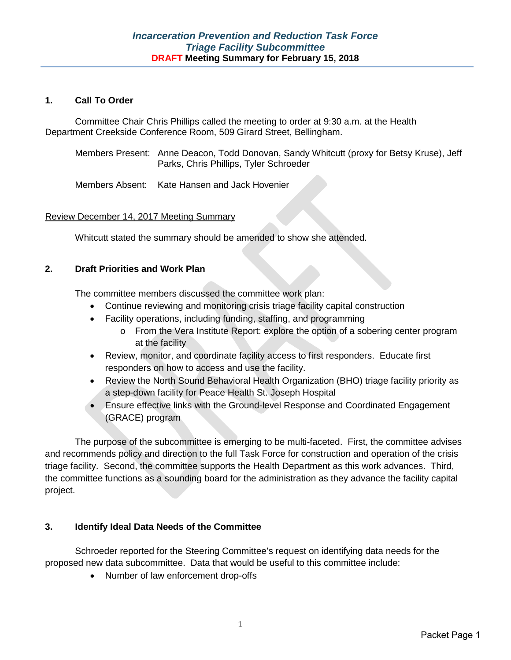#### **1. Call To Order**

Committee Chair Chris Phillips called the meeting to order at 9:30 a.m. at the Health Department Creekside Conference Room, 509 Girard Street, Bellingham.

Members Present: Anne Deacon, Todd Donovan, Sandy Whitcutt (proxy for Betsy Kruse), Jeff Parks, Chris Phillips, Tyler Schroeder

Members Absent: Kate Hansen and Jack Hovenier

### Review December 14, 2017 Meeting Summary

Whitcutt stated the summary should be amended to show she attended.

#### **2. Draft Priorities and Work Plan**

The committee members discussed the committee work plan:

- Continue reviewing and monitoring crisis triage facility capital construction
- Facility operations, including funding, staffing, and programming
	- o From the Vera Institute Report: explore the option of a sobering center program at the facility
- Review, monitor, and coordinate facility access to first responders. Educate first responders on how to access and use the facility.
- Review the North Sound Behavioral Health Organization (BHO) triage facility priority as a step-down facility for Peace Health St. Joseph Hospital
- Ensure effective links with the Ground-level Response and Coordinated Engagement (GRACE) program

The purpose of the subcommittee is emerging to be multi-faceted. First, the committee advises and recommends policy and direction to the full Task Force for construction and operation of the crisis triage facility. Second, the committee supports the Health Department as this work advances. Third, the committee functions as a sounding board for the administration as they advance the facility capital project.

### **3. Identify Ideal Data Needs of the Committee**

Schroeder reported for the Steering Committee's request on identifying data needs for the proposed new data subcommittee. Data that would be useful to this committee include:

• Number of law enforcement drop-offs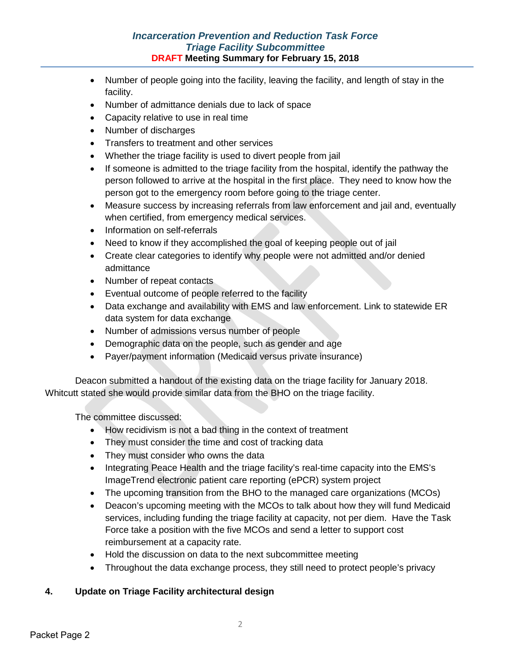# *Incarceration Prevention and Reduction Task Force Triage Facility Subcommittee* **DRAFT Meeting Summary for February 15, 2018**

- Number of people going into the facility, leaving the facility, and length of stay in the facility.
- Number of admittance denials due to lack of space
- Capacity relative to use in real time
- Number of discharges
- Transfers to treatment and other services
- Whether the triage facility is used to divert people from jail
- If someone is admitted to the triage facility from the hospital, identify the pathway the person followed to arrive at the hospital in the first place. They need to know how the person got to the emergency room before going to the triage center.
- Measure success by increasing referrals from law enforcement and jail and, eventually when certified, from emergency medical services.
- Information on self-referrals
- Need to know if they accomplished the goal of keeping people out of jail
- Create clear categories to identify why people were not admitted and/or denied admittance
- Number of repeat contacts
- Eventual outcome of people referred to the facility
- Data exchange and availability with EMS and law enforcement. Link to statewide ER data system for data exchange
- Number of admissions versus number of people
- Demographic data on the people, such as gender and age
- Payer/payment information (Medicaid versus private insurance)

Deacon submitted a handout of the existing data on the triage facility for January 2018. Whitcutt stated she would provide similar data from the BHO on the triage facility.

The committee discussed:

- How recidivism is not a bad thing in the context of treatment
- They must consider the time and cost of tracking data
- They must consider who owns the data
- Integrating Peace Health and the triage facility's real-time capacity into the EMS's ImageTrend electronic patient care reporting (ePCR) system project
- The upcoming transition from the BHO to the managed care organizations (MCOs)
- Deacon's upcoming meeting with the MCOs to talk about how they will fund Medicaid services, including funding the triage facility at capacity, not per diem. Have the Task Force take a position with the five MCOs and send a letter to support cost reimbursement at a capacity rate.
- Hold the discussion on data to the next subcommittee meeting
- Throughout the data exchange process, they still need to protect people's privacy

# **4. Update on Triage Facility architectural design**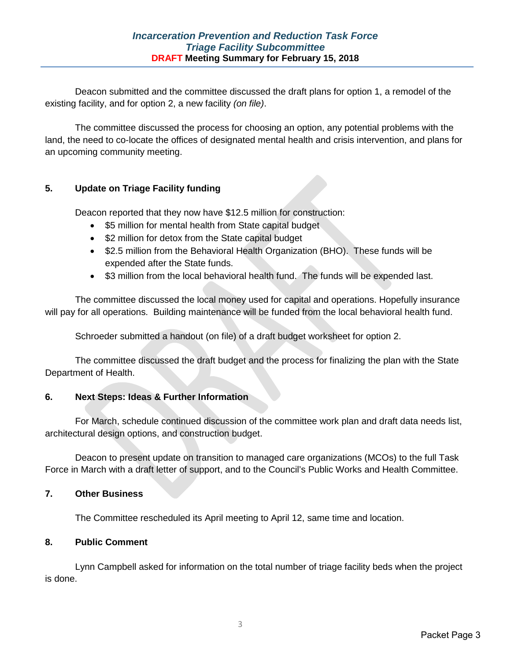Deacon submitted and the committee discussed the draft plans for option 1, a remodel of the existing facility, and for option 2, a new facility *(on file)*.

The committee discussed the process for choosing an option, any potential problems with the land, the need to co-locate the offices of designated mental health and crisis intervention, and plans for an upcoming community meeting.

# **5. Update on Triage Facility funding**

Deacon reported that they now have \$12.5 million for construction:

- \$5 million for mental health from State capital budget
- \$2 million for detox from the State capital budget
- \$2.5 million from the Behavioral Health Organization (BHO). These funds will be expended after the State funds.
- \$3 million from the local behavioral health fund. The funds will be expended last.

The committee discussed the local money used for capital and operations. Hopefully insurance will pay for all operations. Building maintenance will be funded from the local behavioral health fund.

Schroeder submitted a handout (on file) of a draft budget worksheet for option 2.

The committee discussed the draft budget and the process for finalizing the plan with the State Department of Health.

# **6. Next Steps: Ideas & Further Information**

For March, schedule continued discussion of the committee work plan and draft data needs list, architectural design options, and construction budget.

Deacon to present update on transition to managed care organizations (MCOs) to the full Task Force in March with a draft letter of support, and to the Council's Public Works and Health Committee.

### **7. Other Business**

The Committee rescheduled its April meeting to April 12, same time and location.

### **8. Public Comment**

Lynn Campbell asked for information on the total number of triage facility beds when the project is done.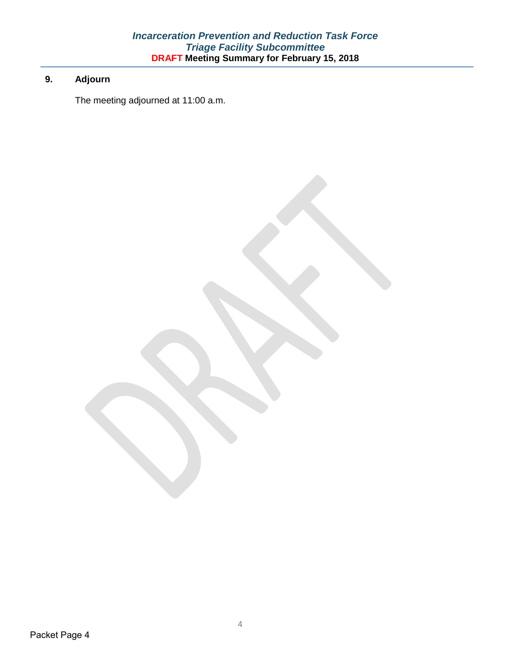# **9. Adjourn**

The meeting adjourned at 11:00 a.m.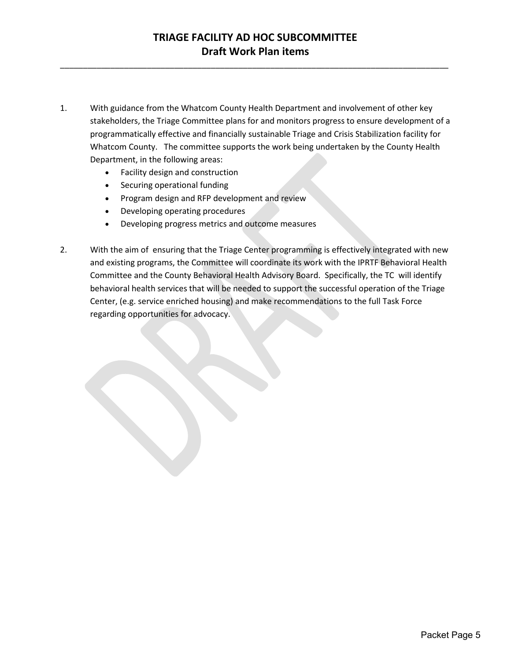\_\_\_\_\_\_\_\_\_\_\_\_\_\_\_\_\_\_\_\_\_\_\_\_\_\_\_\_\_\_\_\_\_\_\_\_\_\_\_\_\_\_\_\_\_\_\_\_\_\_\_\_\_\_\_\_\_\_\_\_\_\_\_\_\_\_\_\_\_\_\_\_\_\_\_\_\_\_\_\_\_\_\_\_\_

- 1. With guidance from the Whatcom County Health Department and involvement of other key stakeholders, the Triage Committee plans for and monitors progress to ensure development of a programmatically effective and financially sustainable Triage and Crisis Stabilization facility for Whatcom County. The committee supports the work being undertaken by the County Health Department, in the following areas:
	- Facility design and construction
	- Securing operational funding
	- Program design and RFP development and review
	- Developing operating procedures
	- Developing progress metrics and outcome measures
- 2. With the aim of ensuring that the Triage Center programming is effectively integrated with new and existing programs, the Committee will coordinate its work with the IPRTF Behavioral Health Committee and the County Behavioral Health Advisory Board. Specifically, the TC will identify behavioral health services that will be needed to support the successful operation of the Triage Center, (e.g. service enriched housing) and make recommendations to the full Task Force regarding opportunities for advocacy.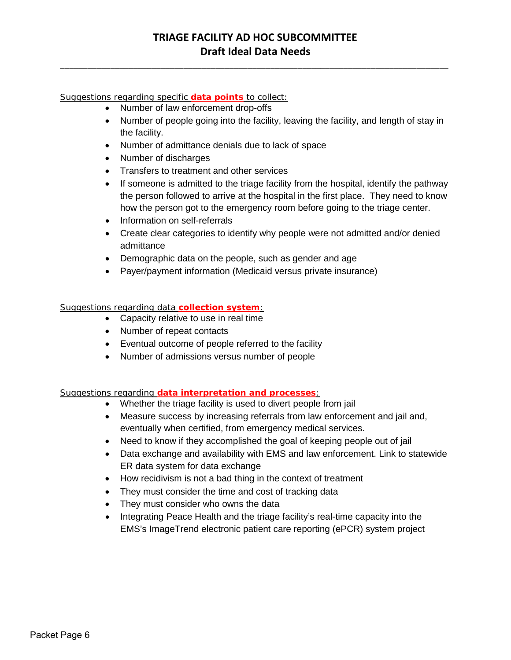# **TRIAGE FACILITY AD HOC SUBCOMMITTEE Draft Ideal Data Needs**

\_\_\_\_\_\_\_\_\_\_\_\_\_\_\_\_\_\_\_\_\_\_\_\_\_\_\_\_\_\_\_\_\_\_\_\_\_\_\_\_\_\_\_\_\_\_\_\_\_\_\_\_\_\_\_\_\_\_\_\_\_\_\_\_\_\_\_\_\_\_\_\_\_\_\_\_\_\_\_\_\_\_\_\_\_

Suggestions regarding specific **data points** to collect:

- Number of law enforcement drop-offs
- Number of people going into the facility, leaving the facility, and length of stay in the facility.
- Number of admittance denials due to lack of space
- Number of discharges
- Transfers to treatment and other services
- If someone is admitted to the triage facility from the hospital, identify the pathway the person followed to arrive at the hospital in the first place. They need to know how the person got to the emergency room before going to the triage center.
- Information on self-referrals
- Create clear categories to identify why people were not admitted and/or denied admittance
- Demographic data on the people, such as gender and age
- Payer/payment information (Medicaid versus private insurance)

#### Suggestions regarding data **collection system**:

- Capacity relative to use in real time
- Number of repeat contacts
- Eventual outcome of people referred to the facility
- Number of admissions versus number of people

#### Suggestions regarding **data interpretation and processes**:

- Whether the triage facility is used to divert people from jail
- Measure success by increasing referrals from law enforcement and jail and, eventually when certified, from emergency medical services.
- Need to know if they accomplished the goal of keeping people out of jail
- Data exchange and availability with EMS and law enforcement. Link to statewide ER data system for data exchange
- How recidivism is not a bad thing in the context of treatment
- They must consider the time and cost of tracking data
- They must consider who owns the data
- Integrating Peace Health and the triage facility's real-time capacity into the EMS's ImageTrend electronic patient care reporting (ePCR) system project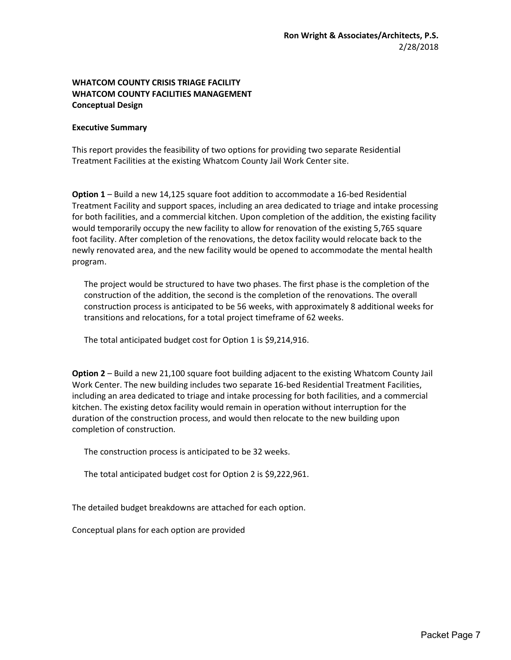#### **WHATCOM COUNTY CRISIS TRIAGE FACILITY WHATCOM COUNTY FACILITIES MANAGEMENT Conceptual Design**

#### **Executive Summary**

This report provides the feasibility of two options for providing two separate Residential Treatment Facilities at the existing Whatcom County Jail Work Center site.

**Option 1** – Build a new 14,125 square foot addition to accommodate a 16-bed Residential Treatment Facility and support spaces, including an area dedicated to triage and intake processing for both facilities, and a commercial kitchen. Upon completion of the addition, the existing facility would temporarily occupy the new facility to allow for renovation of the existing 5,765 square foot facility. After completion of the renovations, the detox facility would relocate back to the newly renovated area, and the new facility would be opened to accommodate the mental health program.

The project would be structured to have two phases. The first phase is the completion of the construction of the addition, the second is the completion of the renovations. The overall construction process is anticipated to be 56 weeks, with approximately 8 additional weeks for transitions and relocations, for a total project timeframe of 62 weeks.

The total anticipated budget cost for Option 1 is \$9,214,916.

**Option 2** – Build a new 21,100 square foot building adjacent to the existing Whatcom County Jail Work Center. The new building includes two separate 16-bed Residential Treatment Facilities, including an area dedicated to triage and intake processing for both facilities, and a commercial kitchen. The existing detox facility would remain in operation without interruption for the duration of the construction process, and would then relocate to the new building upon completion of construction.

The construction process is anticipated to be 32 weeks.

The total anticipated budget cost for Option 2 is \$9,222,961.

The detailed budget breakdowns are attached for each option.

Conceptual plans for each option are provided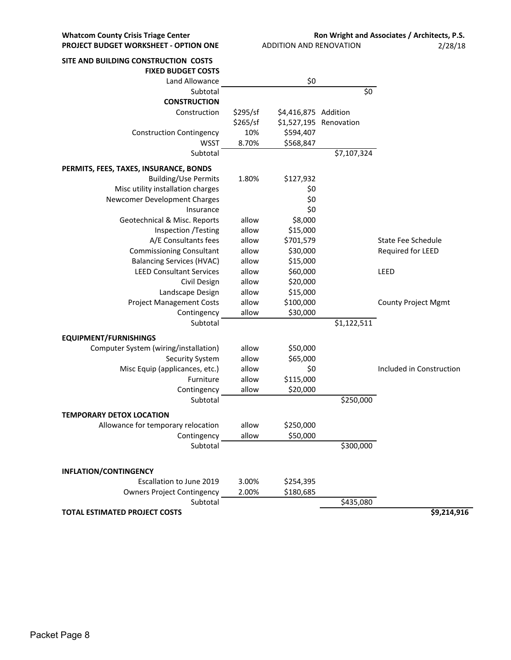| SITE AND BUILDING CONSTRUCTION COSTS   |          |                      |                        |                            |
|----------------------------------------|----------|----------------------|------------------------|----------------------------|
| <b>FIXED BUDGET COSTS</b>              |          |                      |                        |                            |
| Land Allowance                         |          | \$0                  |                        |                            |
| Subtotal                               |          |                      | \$0\$                  |                            |
| <b>CONSTRUCTION</b>                    |          |                      |                        |                            |
| Construction                           | \$295/sf | \$4,416,875 Addition |                        |                            |
|                                        | \$265/sf |                      | \$1,527,195 Renovation |                            |
| <b>Construction Contingency</b>        | 10%      | \$594,407            |                        |                            |
| <b>WSST</b>                            | 8.70%    | \$568,847            |                        |                            |
| Subtotal                               |          |                      | \$7,107,324            |                            |
| PERMITS, FEES, TAXES, INSURANCE, BONDS |          |                      |                        |                            |
| <b>Building/Use Permits</b>            | 1.80%    | \$127,932            |                        |                            |
| Misc utility installation charges      |          | \$0                  |                        |                            |
| Newcomer Development Charges           |          | \$0                  |                        |                            |
| Insurance                              |          | \$0                  |                        |                            |
| Geotechnical & Misc. Reports           | allow    | \$8,000              |                        |                            |
| Inspection /Testing                    | allow    | \$15,000             |                        |                            |
| A/E Consultants fees                   | allow    | \$701,579            |                        | <b>State Fee Schedule</b>  |
| <b>Commissioning Consultant</b>        | allow    | \$30,000             |                        | Required for LEED          |
| <b>Balancing Services (HVAC)</b>       | allow    | \$15,000             |                        |                            |
| <b>LEED Consultant Services</b>        | allow    | \$60,000             |                        | LEED                       |
| Civil Design                           | allow    | \$20,000             |                        |                            |
| Landscape Design                       | allow    | \$15,000             |                        |                            |
| <b>Project Management Costs</b>        | allow    | \$100,000            |                        | <b>County Project Mgmt</b> |
| Contingency                            | allow    | \$30,000             |                        |                            |
| Subtotal                               |          |                      | \$1,122,511            |                            |
|                                        |          |                      |                        |                            |
| <b>EQUIPMENT/FURNISHINGS</b>           |          |                      |                        |                            |
| Computer System (wiring/installation)  | allow    | \$50,000             |                        |                            |
| <b>Security System</b>                 | allow    | \$65,000             |                        |                            |
| Misc Equip (applicances, etc.)         | allow    | \$0                  |                        | Included in Construction   |
| Furniture                              | allow    | \$115,000            |                        |                            |
| Contingency                            | allow    | \$20,000             |                        |                            |
| Subtotal                               |          |                      | \$250,000              |                            |
| <b>TEMPORARY DETOX LOCATION</b>        |          |                      |                        |                            |
| Allowance for temporary relocation     | allow    | \$250,000            |                        |                            |
| Contingency                            | allow    | \$50,000             |                        |                            |
| Subtotal                               |          |                      | \$300,000              |                            |
|                                        |          |                      |                        |                            |
| <b>INFLATION/CONTINGENCY</b>           |          |                      |                        |                            |
| Escallation to June 2019               | 3.00%    | \$254,395            |                        |                            |
| <b>Owners Project Contingency</b>      | 2.00%    | \$180,685            |                        |                            |
| Subtotal                               |          |                      | \$435,080              |                            |
| <b>TOTAL ESTIMATED PROJECT COSTS</b>   |          |                      |                        | \$9,214,916                |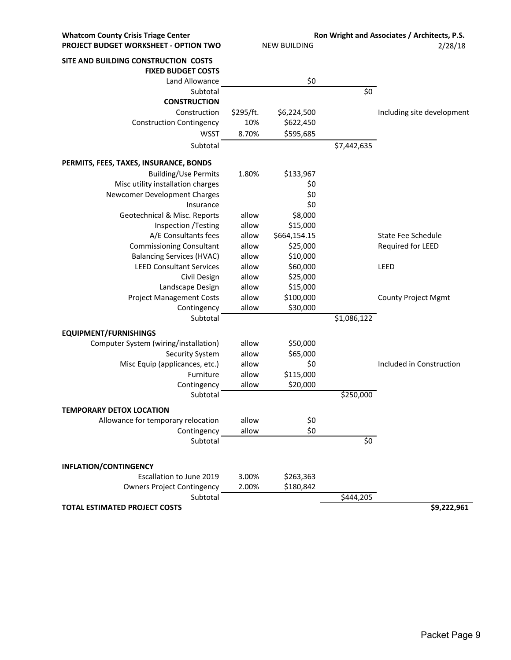| <b>Whatcom County Crisis Triage Center</b> |                     |              |             | Ron Wright and Associates / Architects, P.S. |  |
|--------------------------------------------|---------------------|--------------|-------------|----------------------------------------------|--|
| PROJECT BUDGET WORKSHEET - OPTION TWO      | <b>NEW BUILDING</b> |              | 2/28/18     |                                              |  |
| SITE AND BUILDING CONSTRUCTION COSTS       |                     |              |             |                                              |  |
| <b>FIXED BUDGET COSTS</b>                  |                     |              |             |                                              |  |
| Land Allowance                             |                     | \$0          |             |                                              |  |
| Subtotal                                   |                     |              | \$0         |                                              |  |
| <b>CONSTRUCTION</b>                        |                     |              |             |                                              |  |
| Construction                               | \$295/ft.           | \$6,224,500  |             | Including site development                   |  |
| <b>Construction Contingency</b>            | 10%                 | \$622,450    |             |                                              |  |
| <b>WSST</b>                                | 8.70%               | \$595,685    |             |                                              |  |
| Subtotal                                   |                     |              | \$7,442,635 |                                              |  |
| PERMITS, FEES, TAXES, INSURANCE, BONDS     |                     |              |             |                                              |  |
| <b>Building/Use Permits</b>                | 1.80%               | \$133,967    |             |                                              |  |
| Misc utility installation charges          |                     | \$0          |             |                                              |  |
| Newcomer Development Charges               |                     | \$0          |             |                                              |  |
| Insurance                                  |                     | \$0          |             |                                              |  |
| Geotechnical & Misc. Reports               | allow               | \$8,000      |             |                                              |  |
| Inspection / Testing                       | allow               | \$15,000     |             |                                              |  |
| A/E Consultants fees                       | allow               | \$664,154.15 |             | State Fee Schedule                           |  |
| <b>Commissioning Consultant</b>            | allow               | \$25,000     |             | Required for LEED                            |  |
| <b>Balancing Services (HVAC)</b>           | allow               | \$10,000     |             |                                              |  |
| <b>LEED Consultant Services</b>            | allow               | \$60,000     |             | LEED                                         |  |
| Civil Design                               | allow               | \$25,000     |             |                                              |  |
| Landscape Design                           | allow               | \$15,000     |             |                                              |  |
| <b>Project Management Costs</b>            | allow               | \$100,000    |             | <b>County Project Mgmt</b>                   |  |
| Contingency                                | allow               | \$30,000     |             |                                              |  |
| Subtotal                                   |                     |              | \$1,086,122 |                                              |  |
| <b>EQUIPMENT/FURNISHINGS</b>               |                     |              |             |                                              |  |
| Computer System (wiring/installation)      | allow               | \$50,000     |             |                                              |  |
| <b>Security System</b>                     | allow               | \$65,000     |             |                                              |  |
| Misc Equip (applicances, etc.)             | allow               | \$0          |             | Included in Construction                     |  |
| Furniture                                  | allow               | \$115,000    |             |                                              |  |
| Contingency<br>Subtotal                    | allow               | \$20,000     | \$250,000   |                                              |  |
|                                            |                     |              |             |                                              |  |
| <b>TEMPORARY DETOX LOCATION</b>            |                     |              |             |                                              |  |
| Allowance for temporary relocation         | allow               | \$0          |             |                                              |  |
| Contingency                                | allow               | \$0          |             |                                              |  |
| Subtotal                                   |                     |              | \$0\$       |                                              |  |
| <b>INFLATION/CONTINGENCY</b>               |                     |              |             |                                              |  |
| Escallation to June 2019                   | 3.00%               | \$263,363    |             |                                              |  |
| <b>Owners Project Contingency</b>          | 2.00%               | \$180,842    |             |                                              |  |
| Subtotal                                   |                     |              | \$444,205   |                                              |  |
| <b>TOTAL ESTIMATED PROJECT COSTS</b>       |                     |              |             | \$9,222,961                                  |  |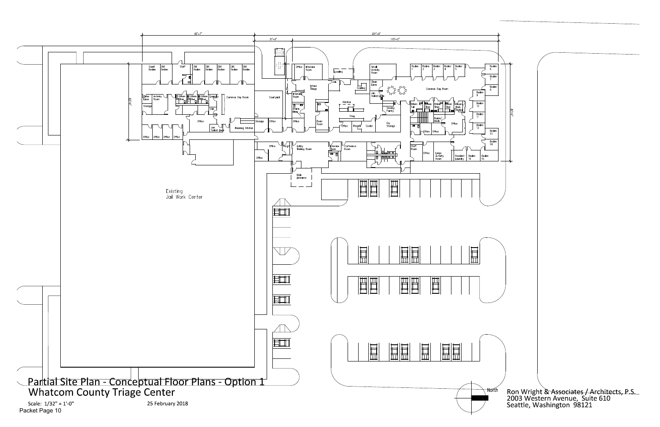